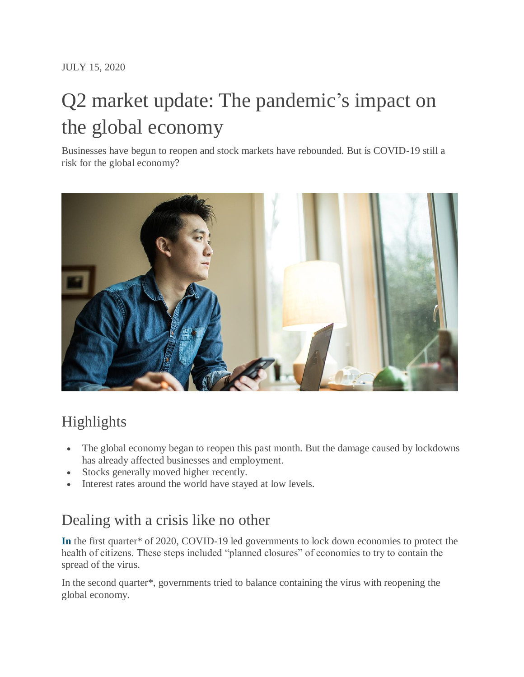# Q2 market update: The pandemic's impact on the global economy

Businesses have begun to reopen and stock markets have rebounded. But is COVID-19 still a risk for the global economy?



# Highlights

- The global economy began to reopen this past month. But the damage caused by lockdowns has already affected businesses and employment.
- Stocks generally moved higher recently.
- Interest rates around the world have stayed at low levels.

# Dealing with a crisis like no other

**[In](https://www.sunlife.ca/en/tools-and-resources/money-and-finances/investing-basics/q1-market-update-the-first-phase-of-the-global-recession/)** the first quarter\* of 2020, COVID-19 led governments to lock down economies to protect the health of citizens. These steps included "planned closures" of economies to try to contain the spread of the virus.

In the second quarter\*, governments tried to balance containing the virus with reopening the global economy.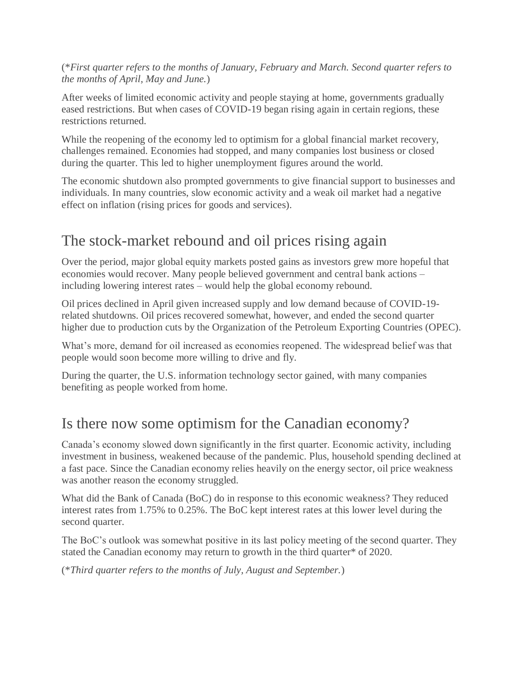(\**First quarter refers to the months of January, February and March. Second quarter refers to the months of April, May and June.*)

After weeks of limited economic activity and people staying at home, governments gradually eased restrictions. But when cases of COVID-19 began rising again in certain regions, these restrictions returned.

While the reopening of the economy led to optimism for a global financial market recovery, challenges remained. Economies had stopped, and many companies lost business or closed during the quarter. This led to higher unemployment figures around the world.

The economic shutdown also prompted governments to give financial support to businesses and individuals. In many countries, slow economic activity and a weak oil market had a negative effect on inflation (rising prices for goods and services).

# The stock-market rebound and oil prices rising again

Over the period, major global equity markets posted gains as investors grew more hopeful that economies would recover. Many people believed government and central bank actions – including lowering interest rates – would help the global economy rebound.

Oil prices declined in April given increased supply and low demand because of COVID-19 related shutdowns. Oil prices recovered somewhat, however, and ended the second quarter higher due to production cuts by the Organization of the Petroleum Exporting Countries (OPEC).

What's more, demand for oil increased as economies reopened. The widespread belief was that people would soon become more willing to drive and fly.

During the quarter, the U.S. information technology sector gained, with many companies benefiting as people worked from home.

## Is there now some optimism for the Canadian economy?

Canada's economy slowed down significantly in the first quarter. Economic activity, including investment in business, weakened because of the pandemic. Plus, household spending declined at a fast pace. Since the Canadian economy relies heavily on the energy sector, oil price weakness was another reason the economy struggled.

What did the Bank of Canada (BoC) do in response to this economic weakness? They reduced interest rates from 1.75% to 0.25%. The BoC kept interest rates at this lower level during the second quarter.

The BoC's outlook was somewhat positive in its last policy meeting of the second quarter. They stated the Canadian economy may return to growth in the third quarter\* of 2020.

(\**Third quarter refers to the months of July, August and September.*)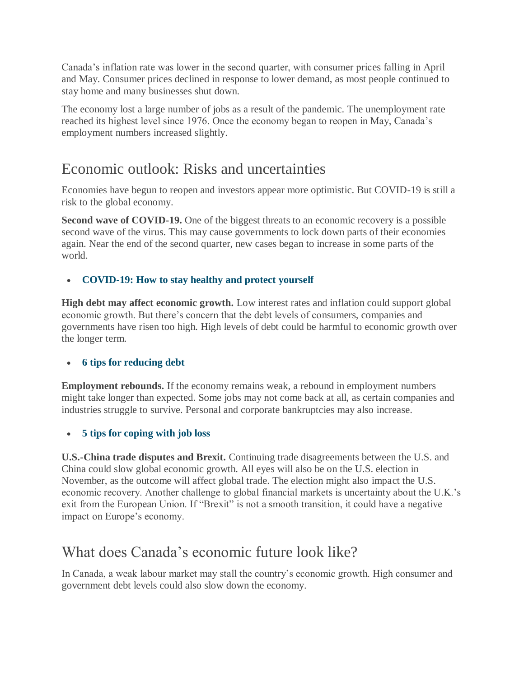Canada's inflation rate was lower in the second quarter, with consumer prices falling in April and May. Consumer prices declined in response to lower demand, as most people continued to stay home and many businesses shut down.

The economy lost a large number of jobs as a result of the pandemic. The unemployment rate reached its highest level since 1976. Once the economy began to reopen in May, Canada's employment numbers increased slightly.

## Economic outlook: Risks and uncertainties

Economies have begun to reopen and investors appear more optimistic. But COVID-19 is still a risk to the global economy.

**Second wave of COVID-19.** One of the biggest threats to an economic recovery is a possible second wave of the virus. This may cause governments to lock down parts of their economies again. Near the end of the second quarter, new cases began to increase in some parts of the world.

#### **[COVID-19: How to stay healthy and protect yourself](https://www.sunlife.ca/en/tools-and-resources/health-and-wellness/preventing-and-treating-illness/seven-simple-ways-to-avoid-the-flu/)**

**High debt may affect economic growth.** Low interest rates and inflation could support global economic growth. But there's concern that the debt levels of consumers, companies and governments have risen too high. High levels of debt could be harmful to economic growth over the longer term.

#### **[6 tips for reducing debt](https://www.sunlife.ca/en/tools-and-resources/money-and-finances/managing-your-money/four-ways-to-lessen-your-debt-load/)**

**Employment rebounds.** If the economy remains weak, a rebound in employment numbers might take longer than expected. Some jobs may not come back at all, as certain companies and industries struggle to survive. Personal and corporate bankruptcies may also increase.

#### **[5 tips for coping with job loss](https://www.sunlife.ca/en/tools-and-resources/health-and-wellness/mental-wellness/five-key-strategies-for-coping-with-job-loss/)**

**U.S.-China trade disputes and Brexit.** Continuing trade disagreements between the U.S. and China could slow global economic growth. All eyes will also be on the U.S. election in November, as the outcome will affect global trade. The election might also impact the U.S. economic recovery. Another challenge to global financial markets is uncertainty about the U.K.'s exit from the European Union. If "Brexit" is not a smooth transition, it could have a negative impact on Europe's economy.

### What does Canada's economic future look like?

In Canada, a weak labour market may stall the country's economic growth. High consumer and government debt levels could also slow down the economy.